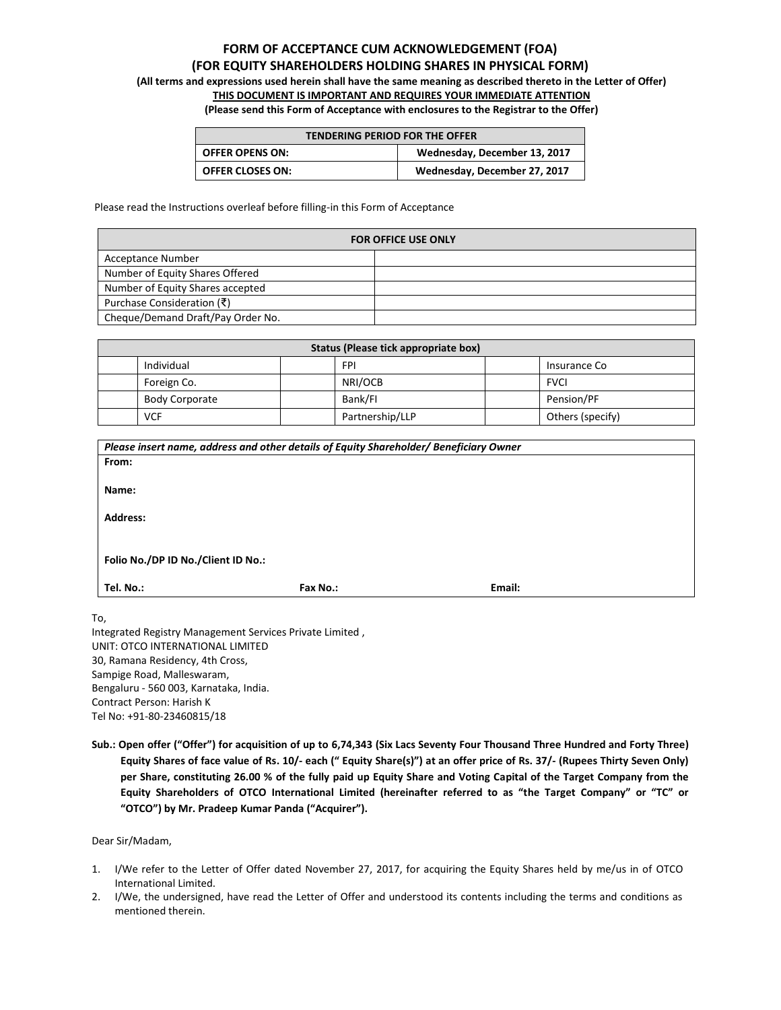# **FORM OF ACCEPTANCE CUM ACKNOWLEDGEMENT (FOA) (FOR EQUITY SHAREHOLDERS HOLDING SHARES IN PHYSICAL FORM)**

**(All terms and expressions used herein shall have the same meaning as described thereto in the Letter of Offer)**

## **THIS DOCUMENT IS IMPORTANT AND REQUIRES YOUR IMMEDIATE ATTENTION**

**(Please send this Form of Acceptance with enclosures to the Registrar to the Offer)** 

| <b>TENDERING PERIOD FOR THE OFFER</b>                  |                              |  |  |
|--------------------------------------------------------|------------------------------|--|--|
| <b>OFFER OPENS ON:</b><br>Wednesday, December 13, 2017 |                              |  |  |
| <b>OFFER CLOSES ON:</b>                                | Wednesday, December 27, 2017 |  |  |

Please read the Instructions overleaf before filling-in this Form of Acceptance

| <b>FOR OFFICE USE ONLY</b>        |  |  |
|-----------------------------------|--|--|
| Acceptance Number                 |  |  |
| Number of Equity Shares Offered   |  |  |
| Number of Equity Shares accepted  |  |  |
| Purchase Consideration (₹)        |  |  |
| Cheque/Demand Draft/Pay Order No. |  |  |

| Status (Please tick appropriate box) |  |                 |  |                  |
|--------------------------------------|--|-----------------|--|------------------|
| Individual<br><b>FPI</b>             |  |                 |  | Insurance Co     |
| Foreign Co.                          |  | NRI/OCB         |  | <b>FVCI</b>      |
| <b>Body Corporate</b>                |  | Bank/FI         |  | Pension/PF       |
| <b>VCF</b>                           |  | Partnership/LLP |  | Others (specify) |

|                                    | Please insert name, address and other details of Equity Shareholder/ Beneficiary Owner |        |  |
|------------------------------------|----------------------------------------------------------------------------------------|--------|--|
| From:                              |                                                                                        |        |  |
|                                    |                                                                                        |        |  |
| Name:                              |                                                                                        |        |  |
|                                    |                                                                                        |        |  |
| <b>Address:</b>                    |                                                                                        |        |  |
|                                    |                                                                                        |        |  |
|                                    |                                                                                        |        |  |
| Folio No./DP ID No./Client ID No.: |                                                                                        |        |  |
|                                    |                                                                                        |        |  |
| Tel. No.:                          | Fax No.:                                                                               | Email: |  |
|                                    |                                                                                        |        |  |

To,

Integrated Registry Management Services Private Limited , UNIT: OTCO INTERNATIONAL LIMITED 30, Ramana Residency, 4th Cross, Sampige Road, Malleswaram, Bengaluru - 560 003, Karnataka, India. Contract Person: Harish K Tel No: +91-80-23460815/18

**Sub.: Open offer ("Offer") for acquisition of up to 6,74,343 (Six Lacs Seventy Four Thousand Three Hundred and Forty Three) Equity Shares of face value of Rs. 10/- each (" Equity Share(s)") at an offer price of Rs. 37/- (Rupees Thirty Seven Only) per Share, constituting 26.00 % of the fully paid up Equity Share and Voting Capital of the Target Company from the Equity Shareholders of OTCO International Limited (hereinafter referred to as "the Target Company" or "TC" or "OTCO") by Mr. Pradeep Kumar Panda ("Acquirer").**

Dear Sir/Madam,

- 1. I/We refer to the Letter of Offer dated November 27, 2017, for acquiring the Equity Shares held by me/us in of OTCO International Limited.
- 2. I/We, the undersigned, have read the Letter of Offer and understood its contents including the terms and conditions as mentioned therein.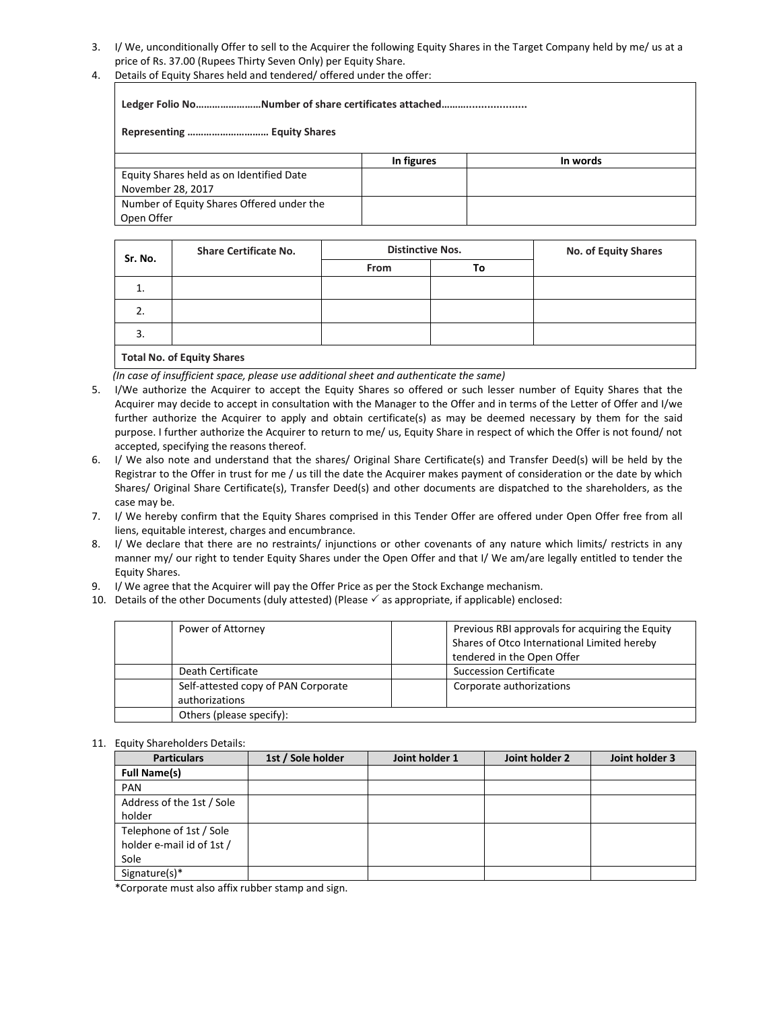- 3. I/ We, unconditionally Offer to sell to the Acquirer the following Equity Shares in the Target Company held by me/ us at a price of Rs. 37.00 (Rupees Thirty Seven Only) per Equity Share.
- 4. Details of Equity Shares held and tendered/ offered under the offer:

**Ledger Folio No……………………Number of share certificates attached……….................... Representing ………………………… Equity Shares In figures In words** Equity Shares held as on Identified Date November 28, 2017 Number of Equity Shares Offered under the Open Offer

| Sr. No.                    | <b>Share Certificate No.</b> | <b>Distinctive Nos.</b> |    | No. of Equity Shares |
|----------------------------|------------------------------|-------------------------|----|----------------------|
|                            |                              | From                    | To |                      |
| 1.                         |                              |                         |    |                      |
| 2.                         |                              |                         |    |                      |
| 3.                         |                              |                         |    |                      |
| Total Marcel Fourth Chause |                              |                         |    |                      |

## **Total No. of Equity Shares**

 *(In case of insufficient space, please use additional sheet and authenticate the same)*

- 5. I/We authorize the Acquirer to accept the Equity Shares so offered or such lesser number of Equity Shares that the Acquirer may decide to accept in consultation with the Manager to the Offer and in terms of the Letter of Offer and I/we further authorize the Acquirer to apply and obtain certificate(s) as may be deemed necessary by them for the said purpose. I further authorize the Acquirer to return to me/ us, Equity Share in respect of which the Offer is not found/ not accepted, specifying the reasons thereof.
- 6. I/ We also note and understand that the shares/ Original Share Certificate(s) and Transfer Deed(s) will be held by the Registrar to the Offer in trust for me / us till the date the Acquirer makes payment of consideration or the date by which Shares/ Original Share Certificate(s), Transfer Deed(s) and other documents are dispatched to the shareholders, as the case may be.
- 7. I/ We hereby confirm that the Equity Shares comprised in this Tender Offer are offered under Open Offer free from all liens, equitable interest, charges and encumbrance.
- 8. I/ We declare that there are no restraints/ injunctions or other covenants of any nature which limits/ restricts in any manner my/ our right to tender Equity Shares under the Open Offer and that I/ We am/are legally entitled to tender the Equity Shares.
- 9. I/ We agree that the Acquirer will pay the Offer Price as per the Stock Exchange mechanism.
- 10. Details of the other Documents (duly attested) (Please  $\checkmark$  as appropriate, if applicable) enclosed:

| Power of Attorney                                     | Previous RBI approvals for acquiring the Equity<br>Shares of Otco International Limited hereby<br>tendered in the Open Offer |
|-------------------------------------------------------|------------------------------------------------------------------------------------------------------------------------------|
| Death Certificate                                     | <b>Succession Certificate</b>                                                                                                |
| Self-attested copy of PAN Corporate<br>authorizations | Corporate authorizations                                                                                                     |
| Others (please specify):                              |                                                                                                                              |

## 11. Equity Shareholders Details:

| <b>Particulars</b>        | 1st / Sole holder | Joint holder 1 | Joint holder 2 | Joint holder 3 |
|---------------------------|-------------------|----------------|----------------|----------------|
| <b>Full Name(s)</b>       |                   |                |                |                |
| <b>PAN</b>                |                   |                |                |                |
| Address of the 1st / Sole |                   |                |                |                |
| holder                    |                   |                |                |                |
| Telephone of 1st / Sole   |                   |                |                |                |
| holder e-mail id of 1st / |                   |                |                |                |
| Sole                      |                   |                |                |                |
| Signature(s)*             |                   |                |                |                |

\*Corporate must also affix rubber stamp and sign.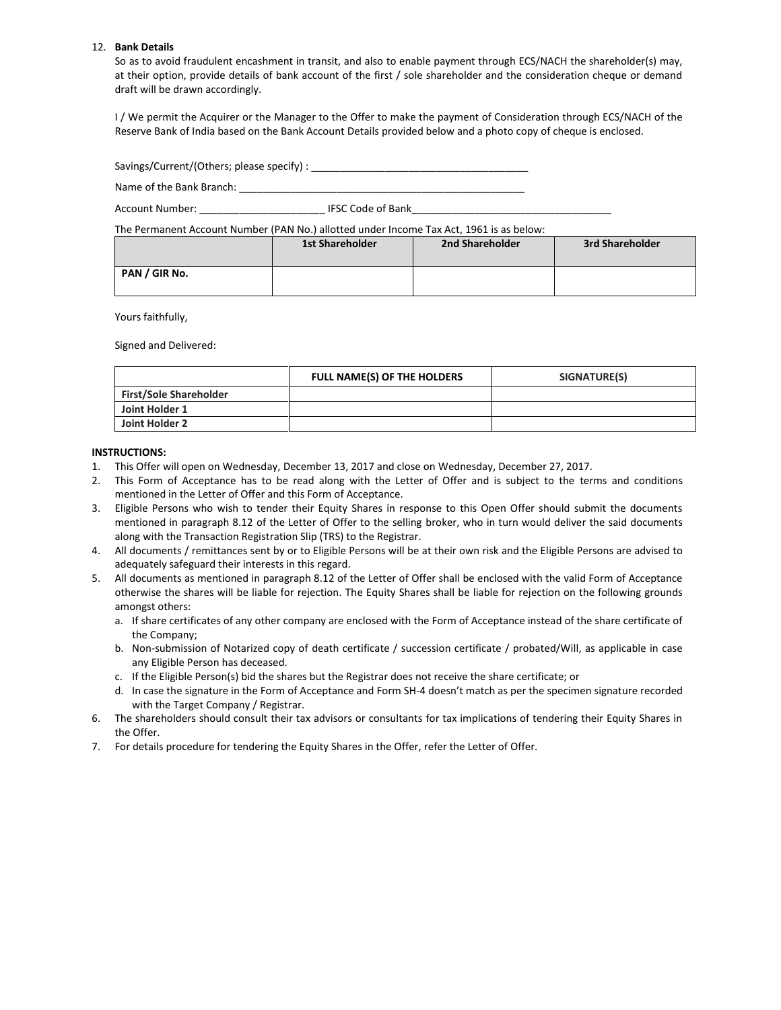### 12. **Bank Details**

So as to avoid fraudulent encashment in transit, and also to enable payment through ECS/NACH the shareholder(s) may, at their option, provide details of bank account of the first / sole shareholder and the consideration cheque or demand draft will be drawn accordingly.

I / We permit the Acquirer or the Manager to the Offer to make the payment of Consideration through ECS/NACH of the Reserve Bank of India based on the Bank Account Details provided below and a photo copy of cheque is enclosed.

| Savings/Current/(Others; please specify) : |
|--------------------------------------------|
|--------------------------------------------|

Name of the Bank Branch: \_\_\_\_\_\_\_\_\_\_\_\_\_\_\_\_\_\_\_\_\_\_\_\_\_\_\_\_\_\_\_\_\_\_\_\_\_\_\_\_\_\_\_\_\_\_\_\_\_\_

Account Number: \_\_\_\_\_\_\_\_\_\_\_\_\_\_\_\_\_\_\_\_\_\_ IFSC Code of Bank\_\_\_\_\_\_\_\_\_\_\_\_\_\_\_\_\_\_\_\_\_\_\_\_\_\_\_\_\_\_\_\_\_\_\_

The Permanent Account Number (PAN No.) allotted under Income Tax Act, 1961 is as below:

|               | <b>1st Shareholder</b> | 2nd Shareholder | 3rd Shareholder |
|---------------|------------------------|-----------------|-----------------|
| PAN / GIR No. |                        |                 |                 |

Yours faithfully,

Signed and Delivered:

|                               | FULL NAME(S) OF THE HOLDERS | SIGNATURE(S) |
|-------------------------------|-----------------------------|--------------|
| <b>First/Sole Shareholder</b> |                             |              |
| Joint Holder 1                |                             |              |
| Joint Holder 2                |                             |              |

## **INSTRUCTIONS:**

- 1. This Offer will open on Wednesday, December 13, 2017 and close on Wednesday, December 27, 2017.
- 2. This Form of Acceptance has to be read along with the Letter of Offer and is subject to the terms and conditions mentioned in the Letter of Offer and this Form of Acceptance.
- 3. Eligible Persons who wish to tender their Equity Shares in response to this Open Offer should submit the documents mentioned in paragraph 8.12 of the Letter of Offer to the selling broker, who in turn would deliver the said documents along with the Transaction Registration Slip (TRS) to the Registrar.
- 4. All documents / remittances sent by or to Eligible Persons will be at their own risk and the Eligible Persons are advised to adequately safeguard their interests in this regard.
- 5. All documents as mentioned in paragraph 8.12 of the Letter of Offer shall be enclosed with the valid Form of Acceptance otherwise the shares will be liable for rejection. The Equity Shares shall be liable for rejection on the following grounds amongst others:
	- a. If share certificates of any other company are enclosed with the Form of Acceptance instead of the share certificate of the Company;
	- b. Non-submission of Notarized copy of death certificate / succession certificate / probated/Will, as applicable in case any Eligible Person has deceased.
	- c. If the Eligible Person(s) bid the shares but the Registrar does not receive the share certificate; or
	- d. In case the signature in the Form of Acceptance and Form SH-4 doesn't match as per the specimen signature recorded with the Target Company / Registrar.
- 6. The shareholders should consult their tax advisors or consultants for tax implications of tendering their Equity Shares in the Offer.
- 7. For details procedure for tendering the Equity Shares in the Offer, refer the Letter of Offer.